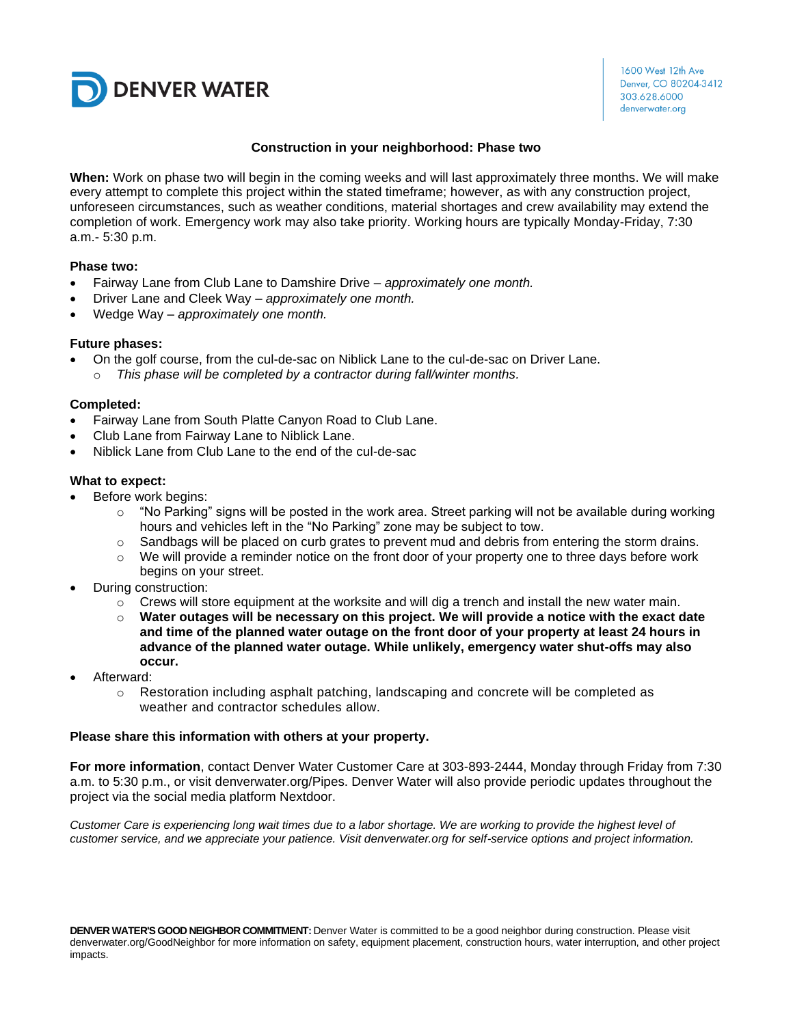

### **Construction in your neighborhood: Phase two**

**When:** Work on phase two will begin in the coming weeks and will last approximately three months. We will make every attempt to complete this project within the stated timeframe; however, as with any construction project, unforeseen circumstances, such as weather conditions, material shortages and crew availability may extend the completion of work. Emergency work may also take priority. Working hours are typically Monday-Friday, 7:30 a.m.- 5:30 p.m.

### **Phase two:**

- Fairway Lane from Club Lane to Damshire Drive *approximately one month.*
- Driver Lane and Cleek Way *approximately one month.*
- Wedge Way *approximately one month.*

### **Future phases:**

- On the golf course, from the cul-de-sac on Niblick Lane to the cul-de-sac on Driver Lane.
	- o *This phase will be completed by a contractor during fall/winter months.*

### **Completed:**

- Fairway Lane from South Platte Canyon Road to Club Lane.
- Club Lane from Fairway Lane to Niblick Lane.
- Niblick Lane from Club Lane to the end of the cul-de-sac

### **What to expect:**

- Before work begins:
	- $\circ$  "No Parking" signs will be posted in the work area. Street parking will not be available during working hours and vehicles left in the "No Parking" zone may be subject to tow.
	- $\circ$  Sandbags will be placed on curb grates to prevent mud and debris from entering the storm drains.
	- $\circ$  We will provide a reminder notice on the front door of your property one to three days before work begins on your street.
- During construction:
	- $\circ$  Crews will store equipment at the worksite and will dig a trench and install the new water main.
	- o **Water outages will be necessary on this project. We will provide a notice with the exact date and time of the planned water outage on the front door of your property at least 24 hours in advance of the planned water outage. While unlikely, emergency water shut-offs may also occur.**
- Afterward:
	- $\circ$  Restoration including asphalt patching, landscaping and concrete will be completed as weather and contractor schedules allow.

### **Please share this information with others at your property.**

**For more information**, contact Denver Water Customer Care at 303-893-2444, Monday through Friday from 7:30 a.m. to 5:30 p.m., or visit denverwater.org/Pipes. Denver Water will also provide periodic updates throughout the project via the social media platform Nextdoor.

*Customer Care is experiencing long wait times due to a labor shortage. We are working to provide the highest level of customer service, and we appreciate your patience. Visit denverwater.org for self-service options and project information.*

**DENVER WATER'S GOOD NEIGHBOR COMMITMENT:** Denver Water is committed to be a good neighbor during construction. Please visit denverwater.org/GoodNeighbor for more information on safety, equipment placement, construction hours, water interruption, and other project impacts.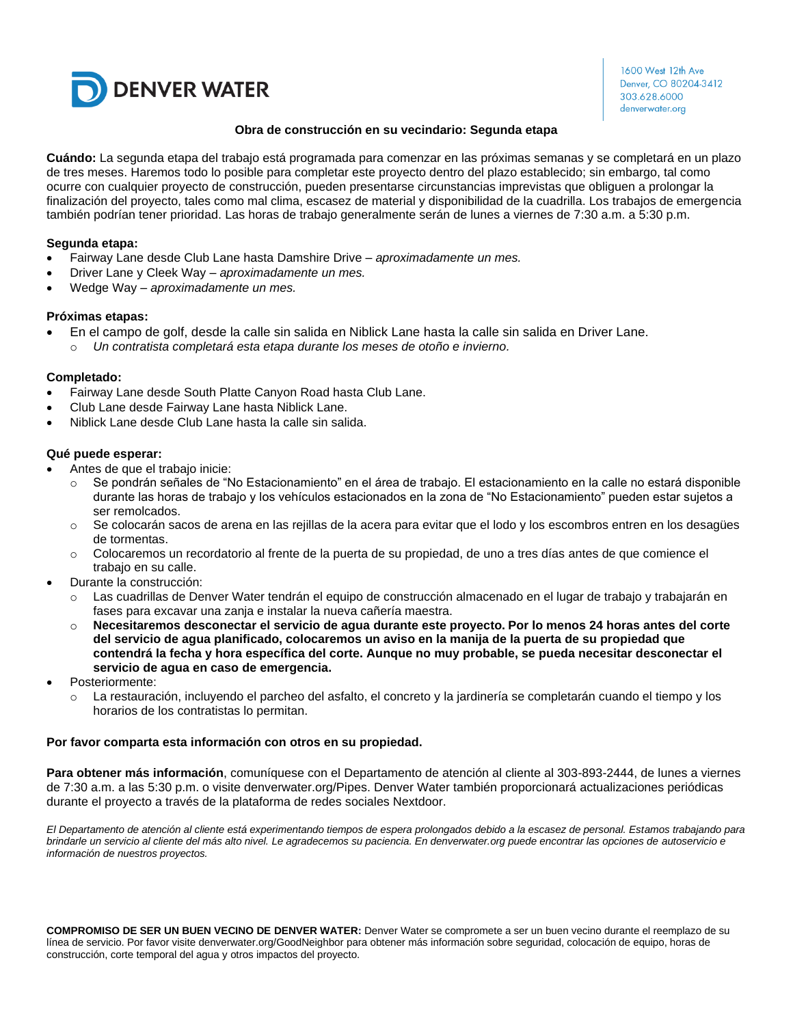

1600 West 12th Ave Denver, CO 80204-3412 303.628.6000 denverwater.org

### **Obra de construcción en su vecindario: Segunda etapa**

**Cuándo:** La segunda etapa del trabajo está programada para comenzar en las próximas semanas y se completará en un plazo de tres meses. Haremos todo lo posible para completar este proyecto dentro del plazo establecido; sin embargo, tal como ocurre con cualquier proyecto de construcción, pueden presentarse circunstancias imprevistas que obliguen a prolongar la finalización del proyecto, tales como mal clima, escasez de material y disponibilidad de la cuadrilla. Los trabajos de emergencia también podrían tener prioridad. Las horas de trabajo generalmente serán de lunes a viernes de 7:30 a.m. a 5:30 p.m.

### **Segunda etapa:**

- Fairway Lane desde Club Lane hasta Damshire Drive *– aproximadamente un mes.*
- Driver Lane y Cleek Way *– aproximadamente un mes.*
- Wedge Way *– aproximadamente un mes.*

### **Próximas etapas:**

- En el campo de golf, desde la calle sin salida en Niblick Lane hasta la calle sin salida en Driver Lane.
	- o *Un contratista completará esta etapa durante los meses de otoño e invierno.*

### **Completado:**

- Fairway Lane desde South Platte Canyon Road hasta Club Lane.
- Club Lane desde Fairway Lane hasta Niblick Lane.
- Niblick Lane desde Club Lane hasta la calle sin salida.

### **Qué puede esperar:**

- Antes de que el trabajo inicie:
	- o Se pondrán señales de "No Estacionamiento" en el área de trabajo. El estacionamiento en la calle no estará disponible durante las horas de trabajo y los vehículos estacionados en la zona de "No Estacionamiento" pueden estar sujetos a ser remolcados.
	- o Se colocarán sacos de arena en las rejillas de la acera para evitar que el lodo y los escombros entren en los desagües de tormentas.
	- o Colocaremos un recordatorio al frente de la puerta de su propiedad, de uno a tres días antes de que comience el trabajo en su calle.
- Durante la construcción:
	- Las cuadrillas de Denver Water tendrán el equipo de construcción almacenado en el lugar de trabajo y trabajarán en fases para excavar una zanja e instalar la nueva cañería maestra.
	- o **Necesitaremos desconectar el servicio de agua durante este proyecto. Por lo menos 24 horas antes del corte del servicio de agua planificado, colocaremos un aviso en la manija de la puerta de su propiedad que contendrá la fecha y hora específica del corte. Aunque no muy probable, se pueda necesitar desconectar el servicio de agua en caso de emergencia.**
- Posteriormente:
	- o La restauración, incluyendo el parcheo del asfalto, el concreto y la jardinería se completarán cuando el tiempo y los horarios de los contratistas lo permitan.

#### **Por favor comparta esta información con otros en su propiedad.**

**Para obtener más información**, comuníquese con el Departamento de atención al cliente al 303-893-2444, de lunes a viernes de 7:30 a.m. a las 5:30 p.m. o visite denverwater.org/Pipes. Denver Water también proporcionará actualizaciones periódicas durante el proyecto a través de la plataforma de redes sociales Nextdoor.

*El Departamento de atención al cliente está experimentando tiempos de espera prolongados debido a la escasez de personal. Estamos trabajando para*  brindarle un servicio al cliente del más alto nivel. Le agradecemos su paciencia. En denverwater.org puede encontrar las opciones de autoservicio e *información de nuestros proyectos.*

**COMPROMISO DE SER UN BUEN VECINO DE DENVER WATER:** Denver Water se compromete a ser un buen vecino durante el reemplazo de su línea de servicio. Por favor visite denverwater.org/GoodNeighbor para obtener más información sobre seguridad, colocación de equipo, horas de construcción, corte temporal del agua y otros impactos del proyecto.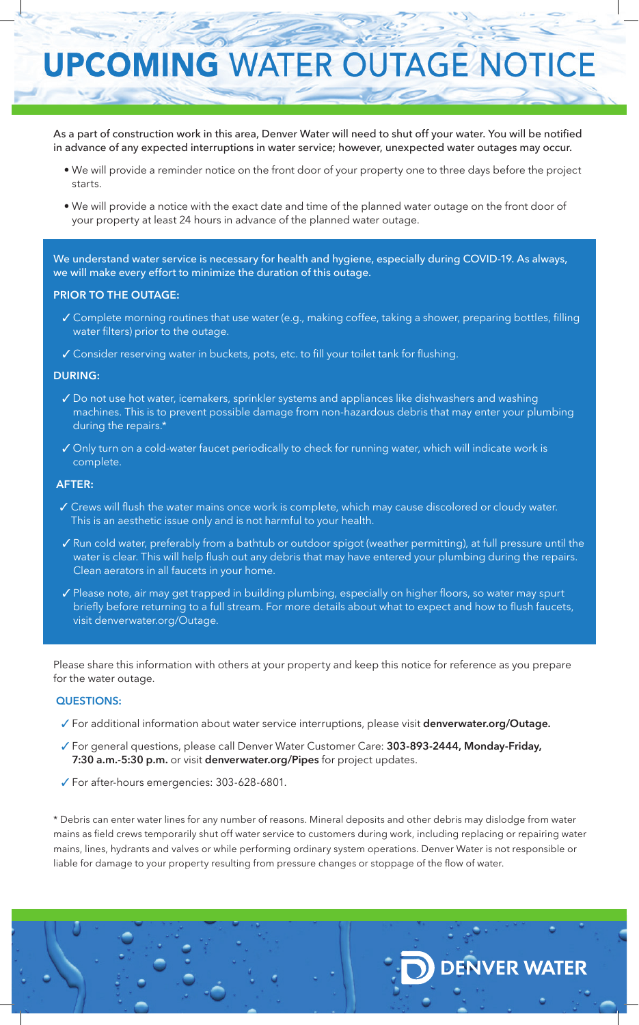# **UPCOMING WATER OUTAGE NOTICE**

As a part of construction work in this area, Denver Water will need to shut off your water. You will be notified in advance of any expected interruptions in water service; however, unexpected water outages may occur.

- We will provide a reminder notice on the front door of your property one to three days before the project starts.
- We will provide a notice with the exact date and time of the planned water outage on the front door of your property at least 24 hours in advance of the planned water outage.

We understand water service is necessary for health and hygiene, especially during COVID-19. As always, we will make every effort to minimize the duration of this outage.

# **PRIOR TO THE OUTAGE:**

- 3 Complete morning routines that use water (e.g., making coffee, taking a shower, preparing bottles, filling water filters) prior to the outage.
- √ Consider reserving water in buckets, pots, etc. to fill your toilet tank for flushing.

# **DURING:**

- Do not use hot water, icemakers, sprinkler systems and appliances like dishwashers and washing machines. This is to prevent possible damage from non-hazardous debris that may enter your plumbing during the repairs.\*
- √ Only turn on a cold-water faucet periodically to check for running water, which will indicate work is complete.

# **AFTER:**

- $\checkmark$  Crews will flush the water mains once work is complete, which may cause discolored or cloudy water. This is an aesthetic issue only and is not harmful to your health.
- $\checkmark$  Run cold water, preferably from a bathtub or outdoor spigot (weather permitting), at full pressure until the water is clear. This will help flush out any debris that may have entered your plumbing during the repairs. Clean aerators in all faucets in your home.
- √ Please note, air may get trapped in building plumbing, especially on higher floors, so water may spurt briefly before returning to a full stream. For more details about what to expect and how to flush faucets, visit denverwater.org/Outage.

Please share this information with others at your property and keep this notice for reference as you prepare for the water outage.

# **QUESTIONS:**

- 3 For additional information about water service interruptions, please visit **denverwater.org/Outage.**
- 3 For general questions, please call Denver Water Customer Care: **303-893-2444, Monday-Friday, 7:30 a.m.-5:30 p.m.** or visit **denverwater.org/Pipes** for project updates.
- 3 For after-hours emergencies: 303-628-6801.

\* Debris can enter water lines for any number of reasons. Mineral deposits and other debris may dislodge from water mains as field crews temporarily shut off water service to customers during work, including replacing or repairing water mains, lines, hydrants and valves or while performing ordinary system operations. Denver Water is not responsible or liable for damage to your property resulting from pressure changes or stoppage of the flow of water.

**DENVER WATER**